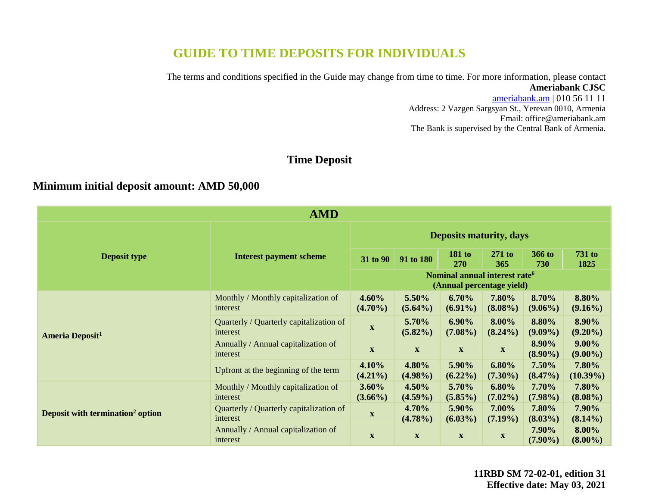# **GUIDE TO TIME DEPOSITS FOR INDIVIDUALS**

The terms and conditions specified in the Guide may change from time to time. For more information, please contact **Ameriabank CJSC**

> [ameriabank.am](https://ameriabank.am/default.aspx?lang=28) | 010 56 11 11 Address: 2 Vazgen Sargsyan St., Yerevan 0010, Armenia Email: <office@ameriabank.am> The Bank is supervised by the Central Bank of Armenia.

## **Time Deposit**

# **Minimum initial deposit amount: AMD 50,000**

| <b>AMD</b>                                   |                                                     |                                |                                                                        |                        |                           |                      |                        |
|----------------------------------------------|-----------------------------------------------------|--------------------------------|------------------------------------------------------------------------|------------------------|---------------------------|----------------------|------------------------|
|                                              | <b>Interest payment scheme</b>                      | <b>Deposits maturity, days</b> |                                                                        |                        |                           |                      |                        |
| <b>Deposit type</b>                          |                                                     | 31 to 90                       | 91 to 180                                                              | <b>181 to</b><br>270   | $271$ to<br>365           | <b>366 to</b><br>730 | <b>731 to</b><br>1825  |
|                                              |                                                     |                                | Nominal annual interest rate <sup>6</sup><br>(Annual percentage yield) |                        |                           |                      |                        |
| <b>Ameria Deposit<sup>1</sup></b>            | Monthly / Monthly capitalization of<br>interest     | $4.60\%$<br>$(4.70\%)$         | 5.50%<br>$(5.64\%)$                                                    | 6.70%<br>$(6.91\%)$    | 7.80%<br>$(8.08\%)$       | 8.70%<br>$(9.06\%)$  | 8.80%<br>$(9.16\%)$    |
|                                              | Quarterly / Quarterly capitalization of<br>interest | $\mathbf X$                    | 5.70%<br>$(5.82\%)$                                                    | $6.90\%$<br>$(7.08\%)$ | 8.00%<br>$(8.24\%)$       | 8.80%<br>$(9.09\%)$  | 8.90%<br>$(9.20\%)$    |
|                                              | Annually / Annual capitalization of<br>interest     | $\mathbf X$                    | $\mathbf{X}$                                                           | $\mathbf{X}$           | $\mathbf{X}$              | 8.90%<br>$(8.90\%)$  | $9.00\%$<br>$(9.00\%)$ |
|                                              | Upfront at the beginning of the term                | 4.10%<br>$(4.21\%)$            | 4.80%<br>$(4.98\%)$                                                    | 5.90%<br>$(6.22\%)$    | 6.80%<br>$(7.30\%)$       | 7.50%<br>$(8.47\%)$  | 7.80%<br>$(10.39\%)$   |
| Deposit with termination <sup>2</sup> option | Monthly / Monthly capitalization of<br>interest     | $3.60\%$<br>$(3.66\%)$         | $4.50\%$<br>$(4.59\%)$                                                 | 5.70%<br>$(5.85\%)$    | $6.80\%$<br>$(7.02\%)$    | 7.70%<br>$(7.98\%)$  | 7.80%<br>$(8.08\%)$    |
|                                              | Quarterly / Quarterly capitalization of<br>interest | $\mathbf X$                    | 4.70%<br>$(4.78\%)$                                                    | 5.90%<br>$(6.03\%)$    | 7.00%<br>$(7.19\%)$       | 7.80%<br>$(8.03\%)$  | 7.90%<br>$(8.14\%)$    |
|                                              | Annually / Annual capitalization of<br>interest     | $\mathbf X$                    | $\mathbf{X}$                                                           | $\mathbf{X}$           | $\boldsymbol{\mathrm{X}}$ | 7.90%<br>$(7.90\%)$  | 8.00%<br>$(8.00\%)$    |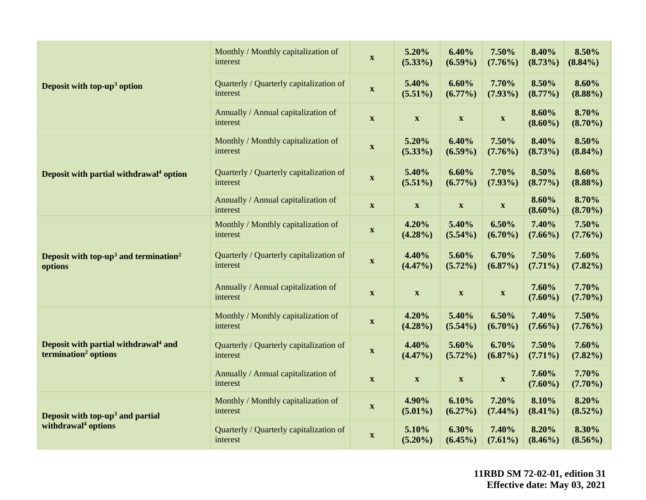|                                                                                      | Monthly / Monthly capitalization of<br>interest     | $\mathbf{X}$                        | 5.20%<br>$(5.33\%)$       | 6.40%<br>$(6.59\%)$       | 7.50%<br>$(7.76\%)$       | 8.40%<br>(8.73%)    | 8.50%<br>$(8.84\%)$ |
|--------------------------------------------------------------------------------------|-----------------------------------------------------|-------------------------------------|---------------------------|---------------------------|---------------------------|---------------------|---------------------|
| Deposit with top- $up3$ option                                                       | Quarterly / Quarterly capitalization of<br>interest | $\boldsymbol{\mathrm{X}}$           | 5.40%<br>$(5.51\%)$       | 6.60%<br>$(6.77\%)$       | 7.70%<br>$(7.93\%)$       | 8.50%<br>$(8.77\%)$ | 8.60%<br>$(8.88\%)$ |
|                                                                                      | Annually / Annual capitalization of<br>interest     | $\boldsymbol{\mathrm{X}}$           | $\boldsymbol{\mathrm{X}}$ | $\boldsymbol{\mathrm{X}}$ | $\boldsymbol{\mathrm{X}}$ | 8.60%<br>$(8.60\%)$ | 8.70%<br>$(8.70\%)$ |
|                                                                                      | Monthly / Monthly capitalization of<br>interest     | $\boldsymbol{\mathrm{X}}$           | 5.20%<br>$(5.33\%)$       | 6.40%<br>$(6.59\%)$       | 7.50%<br>$(7.76\%)$       | 8.40%<br>$(8.73\%)$ | 8.50%<br>$(8.84\%)$ |
| Deposit with partial withdrawal <sup>4</sup> option                                  | Quarterly / Quarterly capitalization of<br>interest | $\mathbf{X}$                        | 5.40%<br>$(5.51\%)$       | 6.60%<br>$(6.77\%)$       | 7.70%<br>$(7.93\%)$       | 8.50%<br>$(8.77\%)$ | 8.60%<br>$(8.88\%)$ |
|                                                                                      | Annually / Annual capitalization of<br>interest     | $\mathbf{X}$                        | $\mathbf X$               | $\boldsymbol{\mathrm{X}}$ | $\boldsymbol{\mathrm{X}}$ | 8.60%<br>$(8.60\%)$ | 8.70%<br>$(8.70\%)$ |
| Deposit with top-up <sup>3</sup> and termination <sup>2</sup><br>options             | Monthly / Monthly capitalization of<br>interest     | $\boldsymbol{\mathrm{X}}$           | 4.20%<br>$(4.28\%)$       | 5.40%<br>$(5.54\%)$       | 6.50%<br>$(6.70\%)$       | 7.40%<br>$(7.66\%)$ | 7.50%<br>$(7.76\%)$ |
|                                                                                      | Quarterly / Quarterly capitalization of<br>interest | $\mathbf{X}$                        | 4.40%<br>$(4.47\%)$       | 5.60%<br>$(5.72\%)$       | 6.70%<br>$(6.87\%)$       | 7.50%<br>$(7.71\%)$ | 7.60%<br>$(7.82\%)$ |
|                                                                                      | Annually / Annual capitalization of<br>interest     | $\mathbf{X}$                        | $\boldsymbol{\mathrm{X}}$ | $\boldsymbol{\mathrm{X}}$ | $\boldsymbol{\mathrm{X}}$ | 7.60%<br>$(7.60\%)$ | 7.70%<br>$(7.70\%)$ |
| Deposit with partial withdrawal <sup>4</sup> and<br>termination <sup>2</sup> options | Monthly / Monthly capitalization of<br>interest     | $\mathbf X$                         | 4.20%<br>$(4.28\%)$       | 5.40%<br>$(5.54\%)$       | 6.50%<br>$(6.70\%)$       | 7.40%<br>$(7.66\%)$ | 7.50%<br>$(7.76\%)$ |
|                                                                                      | Quarterly / Quarterly capitalization of<br>interest | $\boldsymbol{\mathrm{X}}$           | 4.40%<br>$(4.47\%)$       | 5.60%<br>$(5.72\%)$       | 6.70%<br>$(6.87\%)$       | 7.50%<br>$(7.71\%)$ | 7.60%<br>$(7.82\%)$ |
|                                                                                      | Annually / Annual capitalization of<br>interest     | $\mathbf{X}$                        | $\boldsymbol{\mathrm{X}}$ | $\boldsymbol{\mathrm{X}}$ | $\boldsymbol{\mathrm{X}}$ | 7.60%<br>$(7.60\%)$ | 7.70%<br>$(7.70\%)$ |
| Deposit with top-up <sup>3</sup> and partial                                         | Monthly / Monthly capitalization of<br>interest     | $\mathbf{X}$                        | 4.90%<br>$(5.01\%)$       | 6.10%<br>$(6.27\%)$       | 7.20%<br>$(7.44\%)$       | 8.10%<br>$(8.41\%)$ | 8.20%<br>$(8.52\%)$ |
| withdrawal <sup>4</sup> options                                                      | Quarterly / Quarterly capitalization of<br>interest | 5.10%<br>$\mathbf{X}$<br>$(5.20\%)$ |                           | 6.30%<br>$(6.45\%)$       | 7.40%<br>$(7.61\%)$       | 8.20%<br>$(8.46\%)$ | 8.30%<br>$(8.56\%)$ |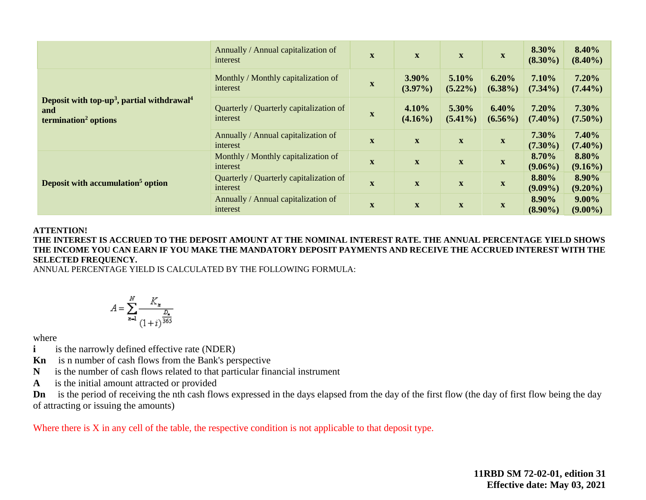|                                                                                                               | Annually / Annual capitalization of<br>interest     | X            | $\mathbf X$                | $\boldsymbol{\mathrm{X}}$ | $\mathbf x$         | 8.30%<br>$(8.30\%)$ | 8.40%<br>$(8.40\%)$    |
|---------------------------------------------------------------------------------------------------------------|-----------------------------------------------------|--------------|----------------------------|---------------------------|---------------------|---------------------|------------------------|
|                                                                                                               | Monthly / Monthly capitalization of<br>interest     | $\mathbf X$  | 3.90%<br>$(3.97\%)$        | 5.10%<br>$(5.22\%)$       | 6.20%<br>$(6.38\%)$ | 7.10%<br>$(7.34\%)$ | 7.20%<br>$(7.44\%)$    |
| Deposit with top-up <sup>3</sup> , partial withdrawal <sup>4</sup><br>and<br>termination <sup>2</sup> options | Quarterly / Quarterly capitalization of<br>interest | $\mathbf x$  | 4.10%<br>$(4.16\%)$        | 5.30%<br>$(5.41\%)$       | 6.40%<br>$(6.56\%)$ | 7.20%<br>$(7.40\%)$ | 7.30%<br>$(7.50\%)$    |
|                                                                                                               | Annually / Annual capitalization of<br>interest     | $\mathbf X$  | $\mathbf{X}$               | $\boldsymbol{\mathrm{X}}$ | $\mathbf X$         | 7.30%<br>$(7.30\%)$ | 7.40%<br>$(7.40\%)$    |
|                                                                                                               | Monthly / Monthly capitalization of<br>interest     | $\mathbf{X}$ | $\mathbf X$                | $\mathbf X$               | $\mathbf x$         | 8.70%<br>$(9.06\%)$ | 8.80%<br>$(9.16\%)$    |
| Deposit with accumulation <sup>5</sup> option                                                                 | Quarterly / Quarterly capitalization of<br>interest | X            | $\mathbf{X}$               | $\mathbf{X}$              | $\mathbf X$         | 8.80%<br>$(9.09\%)$ | 8.90%<br>$(9.20\%)$    |
|                                                                                                               | Annually / Annual capitalization of<br>interest     | $\mathbf x$  | $\mathbf X$<br>$\mathbf X$ |                           | $\mathbf{X}$        | 8.90%<br>$(8.90\%)$ | $9.00\%$<br>$(9.00\%)$ |

#### **ATTENTION!**

**THE INTEREST IS ACCRUED TO THE DEPOSIT AMOUNT AT THE NOMINAL INTEREST RATE. THE ANNUAL PERCENTAGE YIELD SHOWS THE INCOME YOU CAN EARN IF YOU MAKE THE MANDATORY DEPOSIT PAYMENTS AND RECEIVE THE ACCRUED INTEREST WITH THE SELECTED FREQUENCY.** 

ANNUAL PERCENTAGE YIELD IS CALCULATED BY THE FOLLOWING FORMULA:

$$
A = \sum_{n=1}^{N} \frac{K_n}{\left(1+i\right)^{\frac{D_n}{365}}}
$$

where

**i** is the narrowly defined effective rate (NDER)

**Kn** is n number of cash flows from the Bank's perspective

**N** is the number of cash flows related to that particular financial instrument

**A** is the initial amount attracted or provided

**Dn** is the period of receiving the nth cash flows expressed in the days elapsed from the day of the first flow (the day of first flow being the day of attracting or issuing the amounts)

Where there is X in any cell of the table, the respective condition is not applicable to that deposit type.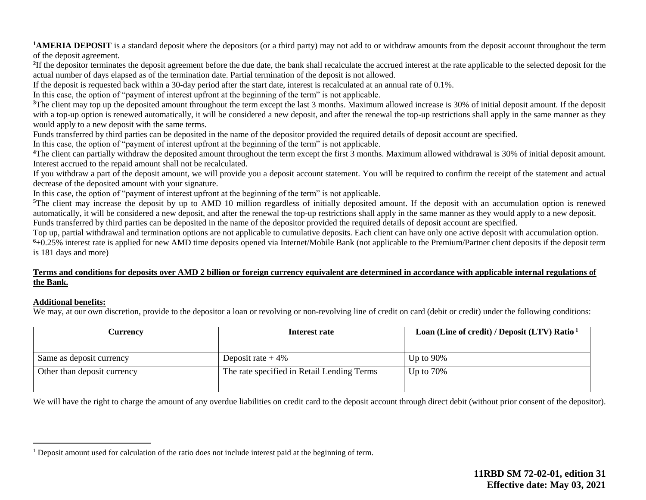<sup>1</sup>**AMERIA DEPOSIT** is a standard deposit where the depositors (or a third party) may not add to or withdraw amounts from the deposit account throughout the term of the deposit agreement.

<sup>2</sup>If the depositor terminates the deposit agreement before the due date, the bank shall recalculate the accrued interest at the rate applicable to the selected deposit for the actual number of days elapsed as of the termination date. Partial termination of the deposit is not allowed.

If the deposit is requested back within a 30-day period after the start date, interest is recalculated at an annual rate of 0.1%.

In this case, the option of "payment of interest upfront at the beginning of the term" is not applicable.

<sup>3</sup>The client may top up the deposited amount throughout the term except the last 3 months. Maximum allowed increase is 30% of initial deposit amount. If the deposit with a top-up option is renewed automatically, it will be considered a new deposit, and after the renewal the top-up restrictions shall apply in the same manner as they would apply to a new deposit with the same terms.

Funds transferred by third parties can be deposited in the name of the depositor provided the required details of deposit account are specified.

In this case, the option of "payment of interest upfront at the beginning of the term" is not applicable.

**<sup>4</sup>**The client can partially withdraw the deposited amount throughout the term except the first 3 months. Maximum allowed withdrawal is 30% of initial deposit amount. Interest accrued to the repaid amount shall not be recalculated.

If you withdraw a part of the deposit amount, we will provide you a deposit account statement. You will be required to confirm the receipt of the statement and actual decrease of the deposited amount with your signature.

In this case, the option of "payment of interest upfront at the beginning of the term" is not applicable.

<sup>5</sup>The client may increase the deposit by up to AMD 10 million regardless of initially deposited amount. If the deposit with an accumulation option is renewed automatically, it will be considered a new deposit, and after the renewal the top-up restrictions shall apply in the same manner as they would apply to a new deposit. Funds transferred by third parties can be deposited in the name of the depositor provided the required details of deposit account are specified.

Top up, partial withdrawal and termination options are not applicable to cumulative deposits. Each client can have only one active deposit with accumulation option.

**<sup>6</sup>**+0.25% interest rate is applied for new AMD time deposits opened via Internet/Mobile Bank (not applicable to the Premium/Partner client deposits if the deposit term is 181 days and more)

#### **Terms and conditions for deposits over AMD 2 billion or foreign currency equivalent are determined in accordance with applicable internal regulations of the Bank.**

### **Additional benefits:**

 $\overline{a}$ 

We may, at our own discretion, provide to the depositor a loan or revolving or non-revolving line of credit on card (debit or credit) under the following conditions:

| Interest rate                              | Loan (Line of credit) / Deposit (LTV) Ratio <sup>1</sup> |  |  |
|--------------------------------------------|----------------------------------------------------------|--|--|
|                                            |                                                          |  |  |
| Deposit rate $+4\%$                        | Up to $90\%$                                             |  |  |
| The rate specified in Retail Lending Terms | Up to $70\%$                                             |  |  |
|                                            |                                                          |  |  |

We will have the right to charge the amount of any overdue liabilities on credit card to the deposit account through direct debit (without prior consent of the depositor).

<sup>&</sup>lt;sup>1</sup> Deposit amount used for calculation of the ratio does not include interest paid at the beginning of term.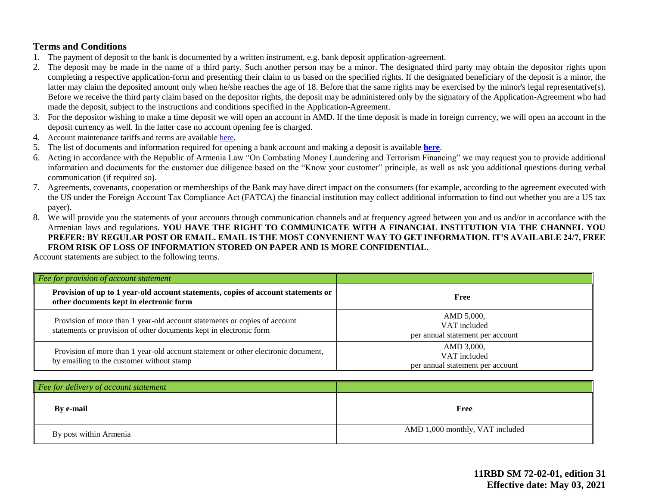## **Terms and Conditions**

- 1. The payment of deposit to the bank is documented by a written instrument, e.g. bank deposit application-agreement.
- 2. The deposit may be made in the name of a third party. Such another person may be a minor. The designated third party may obtain the depositor rights upon completing a respective application-form and presenting their claim to us based on the specified rights. If the designated beneficiary of the deposit is a minor, the latter may claim the deposited amount only when he/she reaches the age of 18. Before that the same rights may be exercised by the minor's legal representative(s). Before we receive the third party claim based on the depositor rights, the deposit may be administered only by the signatory of the Application-Agreement who had made the deposit, subject to the instructions and conditions specified in the Application-Agreement.
- 3. For the depositor wishing to make a time deposit we will open an account in AMD. If the time deposit is made in foreign currency, we will open an account in the deposit currency as well. In the latter case no account opening fee is charged.
- 4. Account maintenance tariffs and terms are available [here.](https://ameriabank.am/content.aspx?id=openning+and+service+of+bank+accounts+(retail)&page=99&itm=account&lang=28)
- 5. The list of documents and information required for opening a bank account and making a deposit is available **[here](https://ameriabank.am/userfiles/file/Account_openning_required_documents_2.pdf)**.
- 6. Acting in accordance with the Republic of Armenia Law "On Combating Money Laundering and Terrorism Financing" we may request you to provide additional information and documents for the customer due diligence based on the "Know your customer" principle, as well as ask you additional questions during verbal communication (if required so).
- 7. Agreements, covenants, cooperation or memberships of the Bank may have direct impact on the consumers (for example, according to the agreement executed with the US under the Foreign Account Tax Compliance Act (FATCA) the financial institution may collect additional information to find out whether you are a US tax payer).
- 8. We will provide you the statements of your accounts through communication channels and at frequency agreed between you and us and/or in accordance with the Armenian laws and regulations. **YOU HAVE THE RIGHT TO COMMUNICATE WITH A FINANCIAL INSTITUTION VIA THE CHANNEL YOU PREFER: BY REGULAR POST OR EMAIL. EMAIL IS THE MOST CONVENIENT WAY TO GET INFORMATION. IT'S AVAILABLE 24/7, FREE FROM RISK OF LOSS OF INFORMATION STORED ON PAPER AND IS MORE CONFIDENTIAL.**

Account statements are subject to the following terms.

| Fee for provision of account statement                                                                                                          |                                                                |
|-------------------------------------------------------------------------------------------------------------------------------------------------|----------------------------------------------------------------|
| Provision of up to 1 year-old account statements, copies of account statements or<br>other documents kept in electronic form                    | Free                                                           |
| Provision of more than 1 year-old account statements or copies of account<br>statements or provision of other documents kept in electronic form | AMD 5,000,<br>VAT included<br>per annual statement per account |
| Provision of more than 1 year-old account statement or other electronic document,<br>by emailing to the customer without stamp                  | AMD 3,000,<br>VAT included<br>per annual statement per account |

| Fee for delivery of account statement |                                 |
|---------------------------------------|---------------------------------|
| By e-mail                             | Free                            |
| By post within Armenia                | AMD 1,000 monthly, VAT included |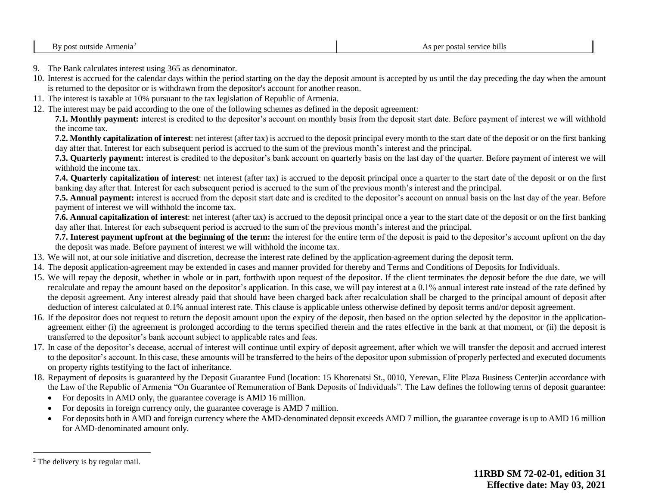- 9. The Bank calculates interest using 365 as denominator.
- 10. Interest is accrued for the calendar days within the period starting on the day the deposit amount is accepted by us until the day preceding the day when the amount is returned to the depositor or is withdrawn from the depositor's account for another reason.
- 11. The interest is taxable at 10% pursuant to the tax legislation of Republic of Armenia.
- 12. The interest may be paid according to the one of the following schemes as defined in the deposit agreement:

**7.1. Monthly payment:** interest is credited to the depositor's account on monthly basis from the deposit start date. Before payment of interest we will withhold the income tax.

**7.2. Monthly capitalization of interest**: net interest (after tax) is accrued to the deposit principal every month to the start date of the deposit or on the first banking day after that. Interest for each subsequent period is accrued to the sum of the previous month's interest and the principal.

**7.3. Quarterly payment:** interest is credited to the depositor's bank account on quarterly basis on the last day of the quarter. Before payment of interest we will withhold the income tax.

**7.4. Quarterly capitalization of interest**: net interest (after tax) is accrued to the deposit principal once a quarter to the start date of the deposit or on the first banking day after that. Interest for each subsequent period is accrued to the sum of the previous month's interest and the principal.

**7.5. Annual payment:** interest is accrued from the deposit start date and is credited to the depositor's account on annual basis on the last day of the year. Before payment of interest we will withhold the income tax.

**7.6. Annual capitalization of interest**: net interest (after tax) is accrued to the deposit principal once a year to the start date of the deposit or on the first banking day after that. Interest for each subsequent period is accrued to the sum of the previous month's interest and the principal.

**7.7. Interest payment upfront at the beginning of the term:** the interest for the entire term of the deposit is paid to the depositor's account upfront on the day the deposit was made. Before payment of interest we will withhold the income tax.

- 13. We will not, at our sole initiative and discretion, decrease the interest rate defined by the application-agreement during the deposit term.
- 14. The deposit application-agreement may be extended in cases and manner provided for thereby and Terms and Conditions of Deposits for Individuals.
- 15. We will repay the deposit, whether in whole or in part, forthwith upon request of the depositor. If the client terminates the deposit before the due date, we will recalculate and repay the amount based on the depositor's application. In this case, we will pay interest at a 0.1% annual interest rate instead of the rate defined by the deposit agreement. Any interest already paid that should have been charged back after recalculation shall be charged to the principal amount of deposit after deduction of interest calculated at 0.1% annual interest rate. This clause is applicable unless otherwise defined by deposit terms and/or deposit agreement.
- 16. If the depositor does not request to return the deposit amount upon the expiry of the deposit, then based on the option selected by the depositor in the applicationagreement either (i) the agreement is prolonged according to the terms specified therein and the rates effective in the bank at that moment, or (ii) the deposit is transferred to the depositor's bank account subject to applicable rates and fees.
- 17. In case of the depositor's decease, accrual of interest will continue until expiry of deposit agreement, after which we will transfer the deposit and accrued interest to the depositor's account. In this case, these amounts will be transferred to the heirs of the depositor upon submission of properly perfected and executed documents on property rights testifying to the fact of inheritance.
- 18. Repayment of deposits is guaranteed by the Deposit Guarantee Fund (location: 15 Khorenatsi St., 0010, Yerevan, Elite Plaza Business Center)in accordance with the Law of the Republic of Armenia "On Guarantee of Remuneration of Bank Deposits of Individuals". The Law defines the following terms of deposit guarantee:
	- For deposits in AMD only, the guarantee coverage is AMD 16 million.
	- For deposits in foreign currency only, the guarantee coverage is AMD 7 million.
	- For deposits both in AMD and foreign currency where the AMD-denominated deposit exceeds AMD 7 million, the guarantee coverage is up to AMD 16 million for AMD-denominated amount only.

 $\overline{a}$ 

<sup>2</sup> The delivery is by regular mail.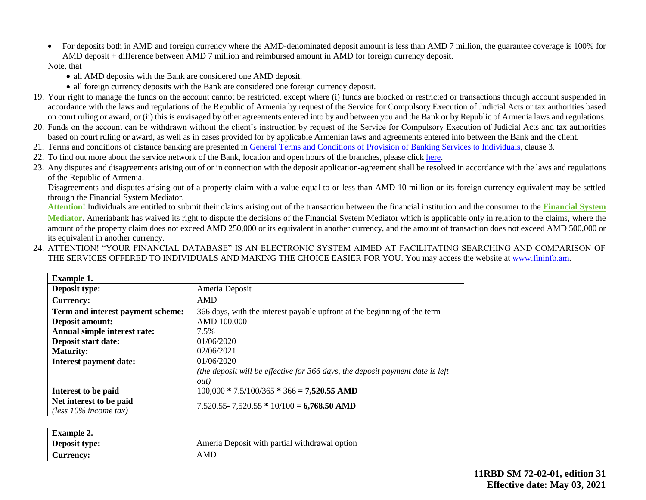• For deposits both in AMD and foreign currency where the AMD-denominated deposit amount is less than AMD 7 million, the guarantee coverage is 100% for AMD deposit + difference between AMD 7 million and reimbursed amount in AMD for foreign currency deposit.

#### Note, that

- all AMD deposits with the Bank are considered one AMD deposit.
- all foreign currency deposits with the Bank are considered one foreign currency deposit.
- 19. Your right to manage the funds on the account cannot be restricted, except where (i) funds are blocked or restricted or transactions through account suspended in accordance with the laws and regulations of the Republic of Armenia by request of the Service for Compulsory Execution of Judicial Acts or tax authorities based on court ruling or award, or (ii) this is envisaged by other agreements entered into by and between you and the Bank or by Republic of Armenia laws and regulations.
- 20. Funds on the account can be withdrawn without the client's instruction by request of the Service for Compulsory Execution of Judicial Acts and tax authorities based on court ruling or award, as well as in cases provided for by applicable Armenian laws and agreements entered into between the Bank and the client.
- 21. Terms and conditions of distance banking are presented in [General Terms and Conditions of Provision of Banking Services to Individuals,](https://ameriabank.am/content.aspx?id=openning+and+service+of+bank+accounts+(retail)&page=99&itm=account&lang=28) clause 3.
- 22. To find out more about the service network of the Bank, location and open hours of the branches, please click [here.](https://ameriabank.am/infrastructure.aspx?lang=28)
- 23. Any disputes and disagreements arising out of or in connection with the deposit application-agreement shall be resolved in accordance with the laws and regulations of the Republic of Armenia.

Disagreements and disputes arising out of a property claim with a value equal to or less than AMD 10 million or its foreign currency equivalent may be settled through the Financial System Mediator.

**Attention!** Individuals are entitled to submit their claims arising out of the transaction between the financial institution and the consumer to the **[Financial System](https://ameriabank.am/Page.aspx?id=423&lang=33)  [Mediator](https://ameriabank.am/Page.aspx?id=423&lang=33)**. Ameriabank has waived its right to dispute the decisions of the Financial System Mediator which is applicable only in relation to the claims, where the amount of the property claim does not exceed AMD 250,000 or its equivalent in another currency, and the amount of transaction does not exceed AMD 500,000 or its equivalent in another currency.

24. ATTENTION! "YOUR FINANCIAL DATABASE" IS AN ELECTRONIC SYSTEM AIMED AT FACILITATING SEARCHING AND COMPARISON OF THE SERVICES OFFERED TO INDIVIDUALS AND MAKING THE CHOICE EASIER FOR YOU. You may access the website at www.fininfo.am.

| <b>Example 1.</b>                 |                                                                               |  |
|-----------------------------------|-------------------------------------------------------------------------------|--|
| Deposit type:                     | Ameria Deposit                                                                |  |
| <b>Currency:</b>                  | AMD                                                                           |  |
| Term and interest payment scheme: | 366 days, with the interest payable upfront at the beginning of the term      |  |
| Deposit amount:                   | AMD 100,000                                                                   |  |
| Annual simple interest rate:      | 7.5%                                                                          |  |
| Deposit start date:               | 01/06/2020                                                                    |  |
| <b>Maturity:</b>                  | 02/06/2021                                                                    |  |
| <b>Interest payment date:</b>     | 01/06/2020                                                                    |  |
|                                   | (the deposit will be effective for 366 days, the deposit payment date is left |  |
|                                   | <i>out</i> )                                                                  |  |
| Interest to be paid               | $100,000 * 7.5/100/365 * 366 = 7,520.55$ AMD                                  |  |
| Net interest to be paid           | $7,520.55 - 7,520.55 * 10/100 = 6,768.50$ AMD                                 |  |
| (less $10\%$ income tax)          |                                                                               |  |

| <b>Example 2.</b> |                                               |
|-------------------|-----------------------------------------------|
| Deposit type:     | Ameria Deposit with partial withdrawal option |
| Currency:         | AMD                                           |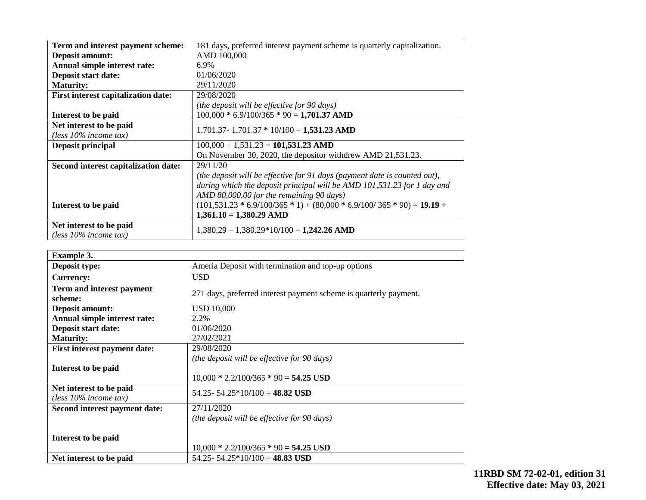| Term and interest payment scheme:                   | 181 days, preferred interest payment scheme is quarterly capitalization.  |
|-----------------------------------------------------|---------------------------------------------------------------------------|
| <b>Deposit amount:</b>                              | AMD 100,000                                                               |
| Annual simple interest rate:                        | 6.9%                                                                      |
| Deposit start date:                                 | 01/06/2020                                                                |
| <b>Maturity:</b>                                    | 29/11/2020                                                                |
| <b>First interest capitalization date:</b>          | 29/08/2020                                                                |
|                                                     | (the deposit will be effective for 90 days)                               |
| Interest to be paid                                 | $100,000 * 6.9/100/365 * 90 = 1,701.37$ AMD                               |
| Net interest to be paid                             | $1,701.37 - 1,701.37 * 10/100 = 1,531.23$ AMD                             |
| (less $10\%$ income tax)                            |                                                                           |
| Deposit principal                                   | $100,000 + 1,531.23 = 101,531.23$ AMD                                     |
|                                                     | On November 30, 2020, the depositor with drew AMD 21,531.23.              |
| Second interest capitalization date:                | 29/11/20                                                                  |
|                                                     | (the deposit will be effective for 91 days (payment date is counted out), |
|                                                     | during which the deposit principal will be AMD 101,531.23 for 1 day and   |
|                                                     | AMD 80,000.00 for the remaining 90 days)                                  |
| Interest to be paid                                 | $(101,531.23 * 6.9/100/365 * 1) + (80,000 * 6.9/100/365 * 90) = 19.19 +$  |
|                                                     | $1,361.10 = 1,380.29$ AMD                                                 |
| Net interest to be paid<br>(less $10\%$ income tax) | $1,380.29 - 1,380.29*10/100 = 1,242.26$ AMD                               |

| <b>Example 3.</b>                                   |                                                                   |
|-----------------------------------------------------|-------------------------------------------------------------------|
| Deposit type:                                       | Ameria Deposit with termination and top-up options                |
| <b>Currency:</b>                                    | <b>USD</b>                                                        |
| Term and interest payment<br>scheme:                | 271 days, preferred interest payment scheme is quarterly payment. |
| <b>Deposit amount:</b>                              | <b>USD 10,000</b>                                                 |
| Annual simple interest rate:                        | 2.2%                                                              |
| Deposit start date:                                 | 01/06/2020                                                        |
| <b>Maturity:</b>                                    | 27/02/2021                                                        |
| <b>First interest payment date:</b>                 | 29/08/2020                                                        |
|                                                     | (the deposit will be effective for 90 days)                       |
| Interest to be paid                                 | $10,000 * 2.2/100/365 * 90 = 54.25$ USD                           |
| Net interest to be paid<br>(less $10\%$ income tax) | 54.25 - 54.25 * 10/100 = 48.82 USD                                |
| Second interest payment date:                       | 27/11/2020                                                        |
|                                                     | (the deposit will be effective for 90 days)                       |
| Interest to be paid                                 | $10,000 * 2.2/100/365 * 90 = 54.25$ USD                           |
| Net interest to be paid                             | 54.25 - 54.25 * 10/100 = 48.83 USD                                |